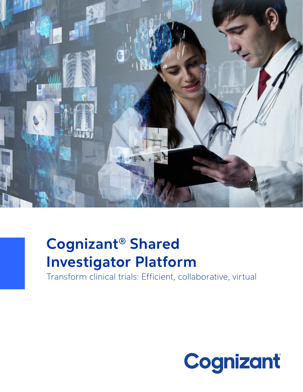

# **Cognizant® Shared Investigator Platform**

Transform clinical trials: Efficient, collaborative, virtual

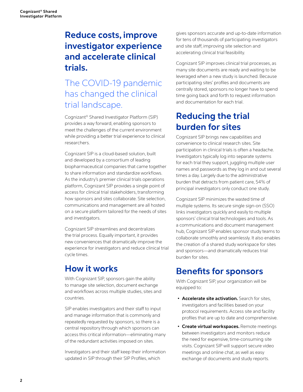## **Reduce costs, improve investigator experience and accelerate clinical trials.**

## The COVID-19 pandemic has changed the clinical trial landscape.

Cognizant® Shared Investigator Platform (SIP) provides a way forward, enabling sponsors to meet the challenges of the current environment while providing a better trial experience to clinical researchers.

Cognizant SIP is a cloud-based solution, built and developed by a consortium of leading biopharmaceutical companies that came together to share information and standardize workflows. As the industry's premier clinical trials operations platform, Cognizant SIP provides a single point of access for clinical trial stakeholders, transforming how sponsors and sites collaborate. Site selection, communications and management are all hosted on a secure platform tailored for the needs of sites and investigators.

Cognizant SIP streamlines and decentralizes the trial process. Equally important, it provides new conveniences that dramatically improve the experience for investigators and reduce clinical trial cycle times.

### **How it works**

With Cognizant SIP, sponsors gain the ability to manage site selection, document exchange and workflows across multiple studies, sites and countries.

SIP enables investigators and their staff to input and manage information that is commonly and repeatedly requested by sponsors, so there is a central repository through which sponsors can access this critical information—eliminating many of the redundant activities imposed on sites.

Investigators and their staff keep their information updated in SIP through their SIP Profiles, which

gives sponsors accurate and up-to-date information for tens of thousands of participating investigators and site staff, improving site selection and accelerating clinical trial feasibility.

Cognizant SIP improves clinical trial processes, as many site documents are ready and waiting to be leveraged when a new study is launched. Because participating sites' profiles and documents are centrally stored, sponsors no longer have to spend time going back and forth to request information and documentation for each trial.

### **Reducing the trial burden for sites**

Cognizant SIP brings new capabilities and convenience to clinical research sites. Site participation in clinical trials is often a headache. Investigators typically log into separate systems for each trial they support, juggling multiple user names and passwords as they log in and out several times a day. Largely due to the administrative burden that detracts from patient care, 54% of principal investigators only conduct one study.

Cognizant SIP minimizes the wasted time of multiple systems. Its secure single sign-on (SSO) links investigators quickly and easily to multiple sponsors' clinical trial technologies and tools. As a communications and document management hub, Cognizant SIP enables sponsor study teams to collaborate smoothly and seamlessly. It also enables the creation of a shared study workspace for sites and sponsors—and dramatically reduces trial burden for sites.

### **Benefits for sponsors**

With Cognizant SIP, your organization will be equipped to:

- **• Accelerate site activation.** Search for sites, investigators and facilities based on your protocol requirements. Access site and facility profiles that are up to date and comprehensive.
- **• Create virtual workspaces.** Remote meetings between investigators and monitors reduce the need for expensive, time-consuming site visits. Cognizant SIP will support secure video meetings and online chat, as well as easy exchange of documents and study reports.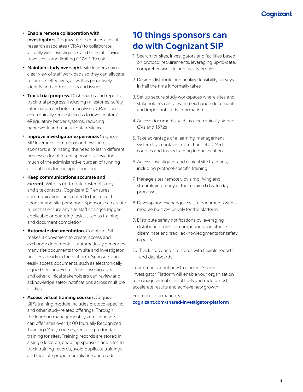- **• Enable remote collaboration with investigators.** Cognizant SIP enables clinical research associates (CRAs) to collaborate virtually with investigators and site staff, saving travel costs and limiting COVID-19 risk.
- **• Maintain study oversight.** Site leaders gain a clear view of staff workloads so they can allocate resources effectively, as well as proactively identify and address risks and issues.
- **• Track trial progress.** Dashboards and reports track trial progress, including milestones, safety information and interim analyses. CRAs can electronically request access to investigators' eRegulatory binder systems, reducing paperwork and manual data reviews.
- **• Improve investigator experience.** Cognizant SIP leverages common workflows across sponsors, eliminating the need to learn different processes for different sponsors, alleviating much of the administrative burden of running clinical trials for multiple sponsors.
- **• Keep communications accurate and current.** With its up-to-date roster of study and site contacts, Cognizant SIP ensures communications are routed to the correct sponsor and site personnel. Sponsors can create rules that ensure any site staff changes trigger applicable onboarding tasks, such as training and document completion.
- **• Automate documentation.** Cognizant SIP makes it convenient to create, access and exchange documents. It automatically generates many site documents from site and investigator profiles already in the platform. Sponsors can easily access documents, such as electronically signed CVs and Form 1572s. Investigators and other clinical stakeholders can review and acknowledge safety notifications across multiple studies.
- **• Access virtual training courses.** Cognizant SIP's training module includes protocol-specific and other study-related offerings. Through the learning management system, sponsors can offer sites over 1,400 Mutually Recognized Training (MRT) courses, reducing redundant training for sites. Training records are stored in a single location, enabling sponsors and sites to track training records, avoid duplicate trainings and facilitate proper compliance and credit.

### **10 things sponsors can do with Cognizant SIP**

- 1. Search for sites, investigators and facilities based on protocol requirements, leveraging up-to-date, comprehensive site and facility profiles
- 2. Design, distribute and analyze feasibility surveys in half the time it normally takes
- 3. Set up secure study workspaces where sites and stakeholders can view and exchange documents and important study information
- 4.Access documents such as electronically signed CVs and 1572s
- 5. Take advantage of a learning management system that contains more than 1,400 MRT courses and tracks training in one location
- 6.Access investigator and clinical site trainings, including protocol-specific training
- 7. Manage sites remotely by simplifying and streamlining many of the required day-to-day processes
- 8. Develop and exchange key site documents with a module built exclusively for the platform
- 9. Distribute safety notifications by leveraging distribution rules for compounds and studies to diseminate and track acknowledgments for safety reports
- 10. Track study and site status with flexible reports and dashboards

Learn more about how Cognizant Shared Investigator Platform will enable your organization to manage virtual clinical trials and reduce costs, accelerate results and achieve new growth.

For more information, visit **[cognizant.com/shared-investigator-platform](http://www.cognizant.com/shared-investigator-platform)**